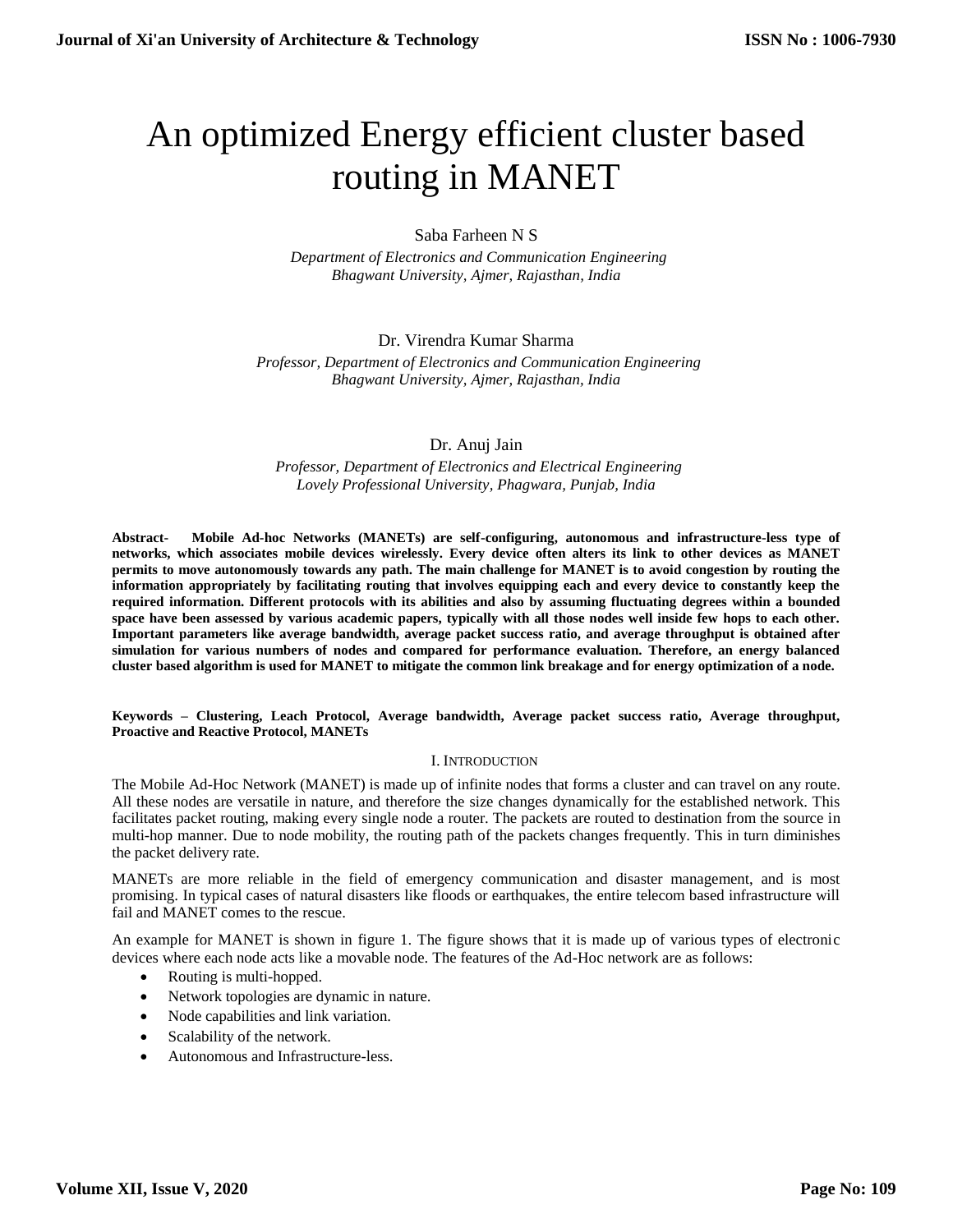# An optimized Energy efficient cluster based routing in MANET

## Saba Farheen N S

 *Department of Electronics and Communication Engineering Bhagwant University, Ajmer, Rajasthan, India*

## Dr. Virendra Kumar Sharma

 *Professor, Department of Electronics and Communication Engineering Bhagwant University, Ajmer, Rajasthan, India*

## Dr. Anuj Jain

 *Professor, Department of Electronics and Electrical Engineering Lovely Professional University, Phagwara, Punjab, India*

**Abstract- Mobile Ad-hoc Networks (MANETs) are self-configuring, autonomous and infrastructure-less type of networks, which associates mobile devices wirelessly. Every device often alters its link to other devices as MANET permits to move autonomously towards any path. The main challenge for MANET is to avoid congestion by routing the information appropriately by facilitating routing that involves equipping each and every device to constantly keep the required information. Different protocols with its abilities and also by assuming fluctuating degrees within a bounded space have been assessed by various academic papers, typically with all those nodes well inside few hops to each other. Important parameters like average bandwidth, average packet success ratio, and average throughput is obtained after simulation for various numbers of nodes and compared for performance evaluation. Therefore, an energy balanced cluster based algorithm is used for MANET to mitigate the common link breakage and for energy optimization of a node.**

**Keywords – Clustering, Leach Protocol, Average bandwidth, Average packet success ratio, Average throughput, Proactive and Reactive Protocol, MANETs**

### I. INTRODUCTION

The Mobile Ad-Hoc Network (MANET) is made up of infinite nodes that forms a cluster and can travel on any route. All these nodes are versatile in nature, and therefore the size changes dynamically for the established network. This facilitates packet routing, making every single node a router. The packets are routed to destination from the source in multi-hop manner. Due to node mobility, the routing path of the packets changes frequently. This in turn diminishes the packet delivery rate.

MANETs are more reliable in the field of emergency communication and disaster management, and is most promising. In typical cases of natural disasters like floods or earthquakes, the entire telecom based infrastructure will fail and MANET comes to the rescue.

An example for MANET is shown in figure 1. The figure shows that it is made up of various types of electronic devices where each node acts like a movable node. The features of the Ad-Hoc network are as follows:

- Routing is multi-hopped.
- Network topologies are dynamic in nature.
- Node capabilities and link variation.
- Scalability of the network.
- Autonomous and Infrastructure-less.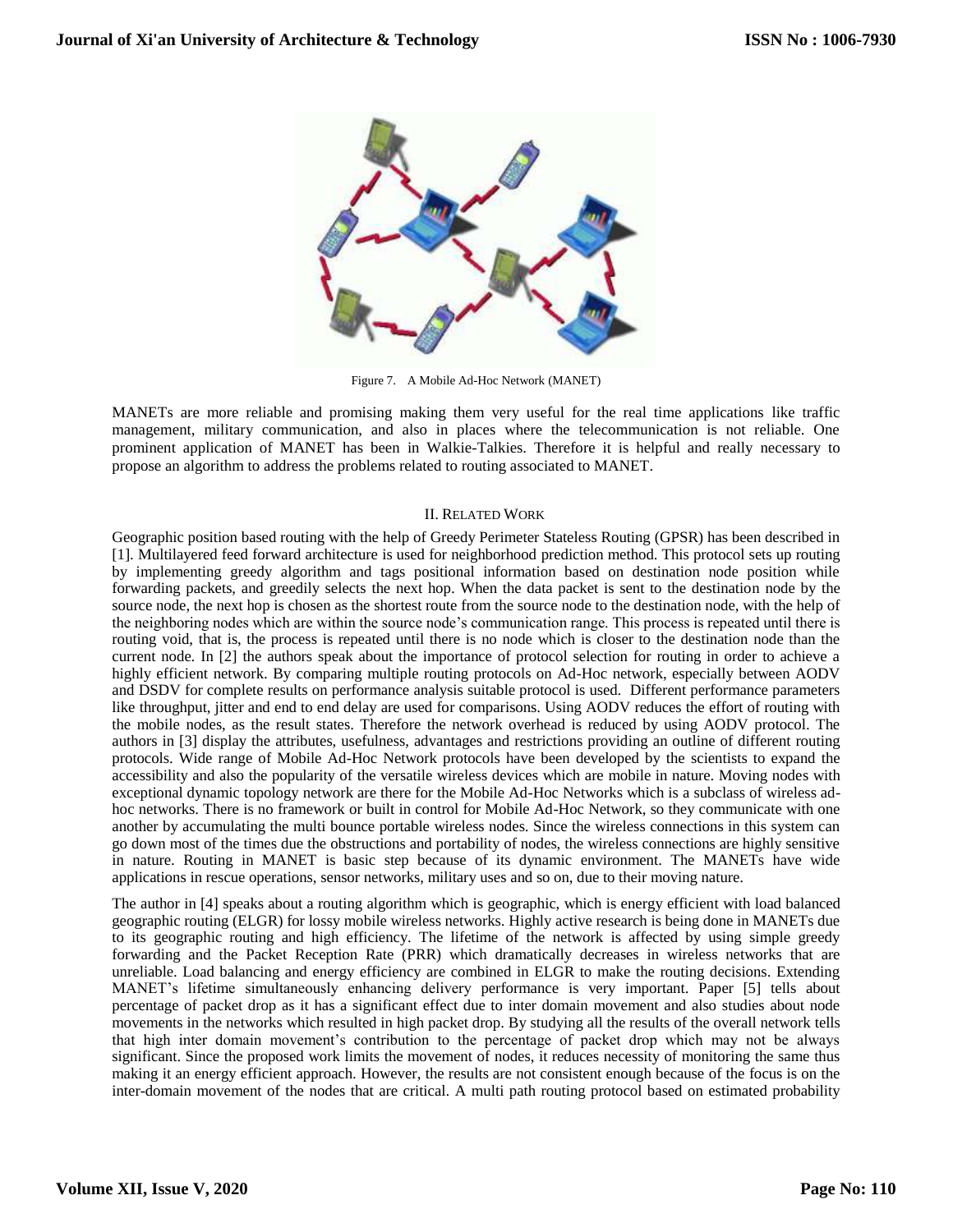

Figure 7. A Mobile Ad-Hoc Network (MANET)

MANETs are more reliable and promising making them very useful for the real time applications like traffic management, military communication, and also in places where the telecommunication is not reliable. One prominent application of MANET has been in Walkie-Talkies. Therefore it is helpful and really necessary to propose an algorithm to address the problems related to routing associated to MANET.

## II. RELATED WORK

Geographic position based routing with the help of Greedy Perimeter Stateless Routing (GPSR) has been described in [1]. Multilayered feed forward architecture is used for neighborhood prediction method. This protocol sets up routing by implementing greedy algorithm and tags positional information based on destination node position while forwarding packets, and greedily selects the next hop. When the data packet is sent to the destination node by the source node, the next hop is chosen as the shortest route from the source node to the destination node, with the help of the neighboring nodes which are within the source node's communication range. This process is repeated until there is routing void, that is, the process is repeated until there is no node which is closer to the destination node than the current node. In [2] the authors speak about the importance of protocol selection for routing in order to achieve a highly efficient network. By comparing multiple routing protocols on Ad-Hoc network, especially between AODV and DSDV for complete results on performance analysis suitable protocol is used. Different performance parameters like throughput, jitter and end to end delay are used for comparisons. Using AODV reduces the effort of routing with the mobile nodes, as the result states. Therefore the network overhead is reduced by using AODV protocol. The authors in [3] display the attributes, usefulness, advantages and restrictions providing an outline of different routing protocols. Wide range of Mobile Ad-Hoc Network protocols have been developed by the scientists to expand the accessibility and also the popularity of the versatile wireless devices which are mobile in nature. Moving nodes with exceptional dynamic topology network are there for the Mobile Ad-Hoc Networks which is a subclass of wireless adhoc networks. There is no framework or built in control for Mobile Ad-Hoc Network, so they communicate with one another by accumulating the multi bounce portable wireless nodes. Since the wireless connections in this system can go down most of the times due the obstructions and portability of nodes, the wireless connections are highly sensitive in nature. Routing in MANET is basic step because of its dynamic environment. The MANETs have wide applications in rescue operations, sensor networks, military uses and so on, due to their moving nature.

The author in [4] speaks about a routing algorithm which is geographic, which is energy efficient with load balanced geographic routing (ELGR) for lossy mobile wireless networks. Highly active research is being done in MANETs due to its geographic routing and high efficiency. The lifetime of the network is affected by using simple greedy forwarding and the Packet Reception Rate (PRR) which dramatically decreases in wireless networks that are unreliable. Load balancing and energy efficiency are combined in ELGR to make the routing decisions. Extending MANET's lifetime simultaneously enhancing delivery performance is very important. Paper [5] tells about percentage of packet drop as it has a significant effect due to inter domain movement and also studies about node movements in the networks which resulted in high packet drop. By studying all the results of the overall network tells that high inter domain movement's contribution to the percentage of packet drop which may not be always significant. Since the proposed work limits the movement of nodes, it reduces necessity of monitoring the same thus making it an energy efficient approach. However, the results are not consistent enough because of the focus is on the inter-domain movement of the nodes that are critical. A multi path routing protocol based on estimated probability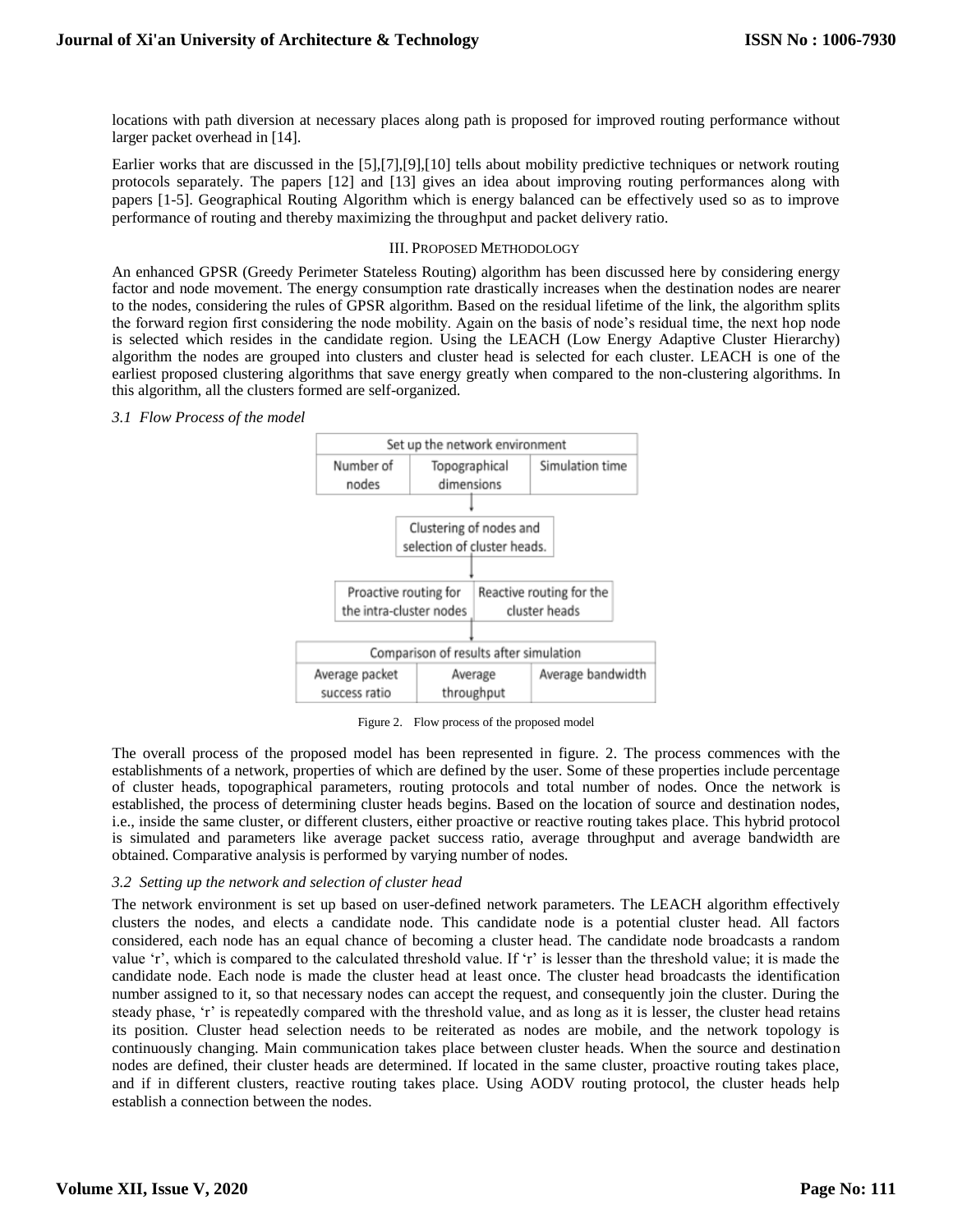locations with path diversion at necessary places along path is proposed for improved routing performance without larger packet overhead in [14].

Earlier works that are discussed in the [5],[7],[9],[10] tells about mobility predictive techniques or network routing protocols separately. The papers [12] and [13] gives an idea about improving routing performances along with papers [1-5]. Geographical Routing Algorithm which is energy balanced can be effectively used so as to improve performance of routing and thereby maximizing the throughput and packet delivery ratio.

### III. PROPOSED METHODOLOGY

An enhanced GPSR (Greedy Perimeter Stateless Routing) algorithm has been discussed here by considering energy factor and node movement. The energy consumption rate drastically increases when the destination nodes are nearer to the nodes, considering the rules of GPSR algorithm. Based on the residual lifetime of the link, the algorithm splits the forward region first considering the node mobility. Again on the basis of node's residual time, the next hop node is selected which resides in the candidate region. Using the LEACH (Low Energy Adaptive Cluster Hierarchy) algorithm the nodes are grouped into clusters and cluster head is selected for each cluster. LEACH is one of the earliest proposed clustering algorithms that save energy greatly when compared to the non-clustering algorithms. In this algorithm, all the clusters formed are self-organized.

#### *3.1 Flow Process of the model*



Figure 2. Flow process of the proposed model

The overall process of the proposed model has been represented in figure. 2. The process commences with the establishments of a network, properties of which are defined by the user. Some of these properties include percentage of cluster heads, topographical parameters, routing protocols and total number of nodes. Once the network is established, the process of determining cluster heads begins. Based on the location of source and destination nodes, i.e., inside the same cluster, or different clusters, either proactive or reactive routing takes place. This hybrid protocol is simulated and parameters like average packet success ratio, average throughput and average bandwidth are obtained. Comparative analysis is performed by varying number of nodes.

### *3.2 Setting up the network and selection of cluster head*

The network environment is set up based on user-defined network parameters. The LEACH algorithm effectively clusters the nodes, and elects a candidate node. This candidate node is a potential cluster head. All factors considered, each node has an equal chance of becoming a cluster head. The candidate node broadcasts a random value 'r', which is compared to the calculated threshold value. If 'r' is lesser than the threshold value; it is made the candidate node. Each node is made the cluster head at least once. The cluster head broadcasts the identification number assigned to it, so that necessary nodes can accept the request, and consequently join the cluster. During the steady phase, 'r' is repeatedly compared with the threshold value, and as long as it is lesser, the cluster head retains its position. Cluster head selection needs to be reiterated as nodes are mobile, and the network topology is continuously changing. Main communication takes place between cluster heads. When the source and destination nodes are defined, their cluster heads are determined. If located in the same cluster, proactive routing takes place, and if in different clusters, reactive routing takes place. Using AODV routing protocol, the cluster heads help establish a connection between the nodes.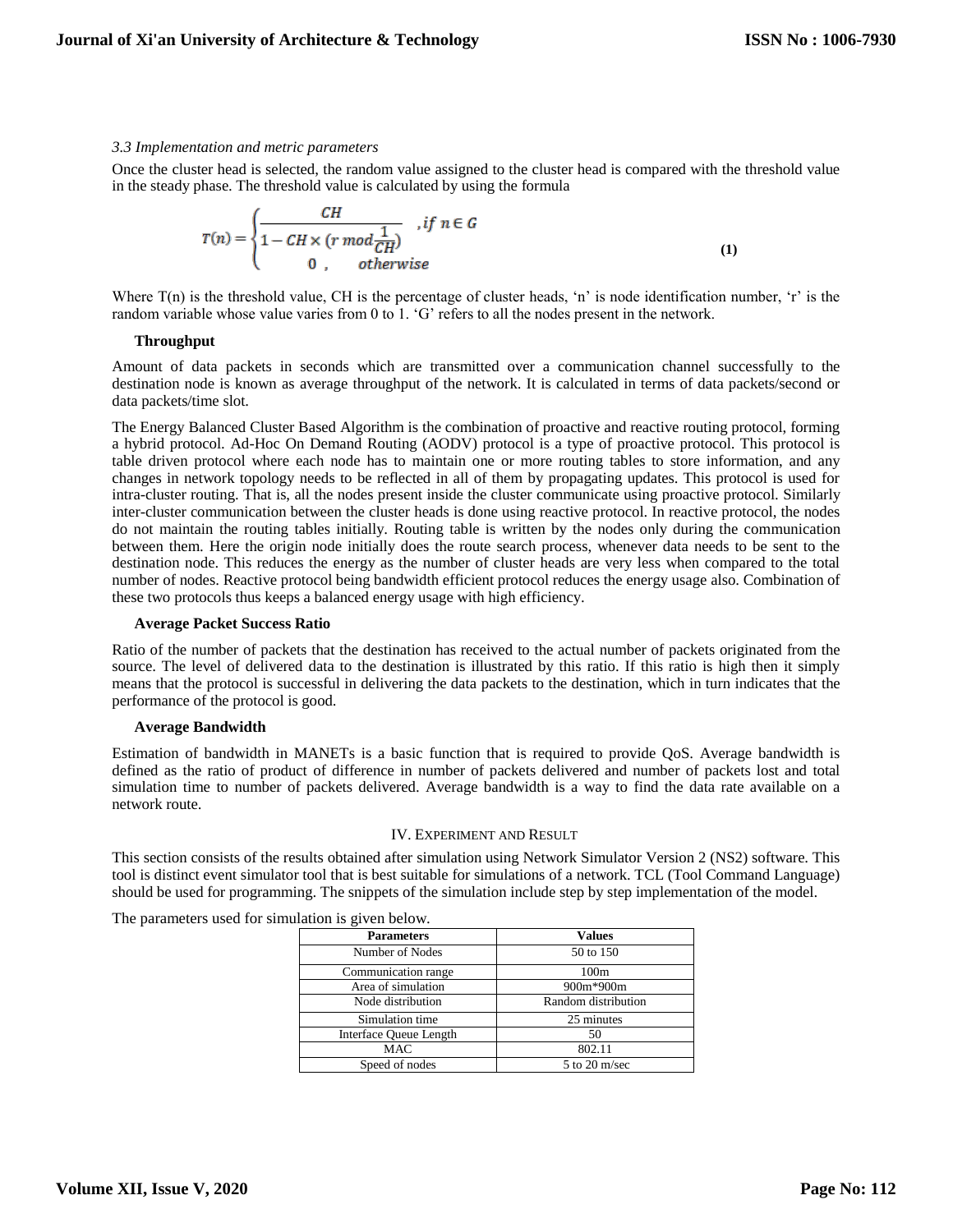#### *3.3 Implementation and metric parameters*

Once the cluster head is selected, the random value assigned to the cluster head is compared with the threshold value in the steady phase. The threshold value is calculated by using the formula

$$
T(n) = \begin{cases} \frac{CH}{1 - CH \times (r \mod \frac{1}{CH})}, & \text{if } n \in G \\ 0, & \text{otherwise} \end{cases}
$$
(1)

Where  $T(n)$  is the threshold value, CH is the percentage of cluster heads, 'n' is node identification number, 'r' is the random variable whose value varies from 0 to 1. 'G' refers to all the nodes present in the network.

#### **Throughput**

Amount of data packets in seconds which are transmitted over a communication channel successfully to the destination node is known as average throughput of the network. It is calculated in terms of data packets/second or data packets/time slot.

The Energy Balanced Cluster Based Algorithm is the combination of proactive and reactive routing protocol, forming a hybrid protocol. Ad-Hoc On Demand Routing (AODV) protocol is a type of proactive protocol. This protocol is table driven protocol where each node has to maintain one or more routing tables to store information, and any changes in network topology needs to be reflected in all of them by propagating updates. This protocol is used for intra-cluster routing. That is, all the nodes present inside the cluster communicate using proactive protocol. Similarly inter-cluster communication between the cluster heads is done using reactive protocol. In reactive protocol, the nodes do not maintain the routing tables initially. Routing table is written by the nodes only during the communication between them. Here the origin node initially does the route search process, whenever data needs to be sent to the destination node. This reduces the energy as the number of cluster heads are very less when compared to the total number of nodes. Reactive protocol being bandwidth efficient protocol reduces the energy usage also. Combination of these two protocols thus keeps a balanced energy usage with high efficiency.

#### **Average Packet Success Ratio**

Ratio of the number of packets that the destination has received to the actual number of packets originated from the source. The level of delivered data to the destination is illustrated by this ratio. If this ratio is high then it simply means that the protocol is successful in delivering the data packets to the destination, which in turn indicates that the performance of the protocol is good.

### **Average Bandwidth**

Estimation of bandwidth in MANETs is a basic function that is required to provide QoS. Average bandwidth is defined as the ratio of product of difference in number of packets delivered and number of packets lost and total simulation time to number of packets delivered. Average bandwidth is a way to find the data rate available on a network route.

#### IV. EXPERIMENT AND RESULT

This section consists of the results obtained after simulation using Network Simulator Version 2 (NS2) software. This tool is distinct event simulator tool that is best suitable for simulations of a network. TCL (Tool Command Language) should be used for programming. The snippets of the simulation include step by step implementation of the model.

The parameters used for simulation is given below.

| <b>Parameters</b>      | <b>Values</b>       |
|------------------------|---------------------|
| Number of Nodes        | 50 to 150           |
| Communication range    | 100m                |
| Area of simulation     | 900m*900m           |
| Node distribution      | Random distribution |
| Simulation time        | 25 minutes          |
| Interface Oueue Length | 50                  |
| <b>MAC</b>             | 802.11              |
| Speed of nodes         | $5$ to $20$ m/sec   |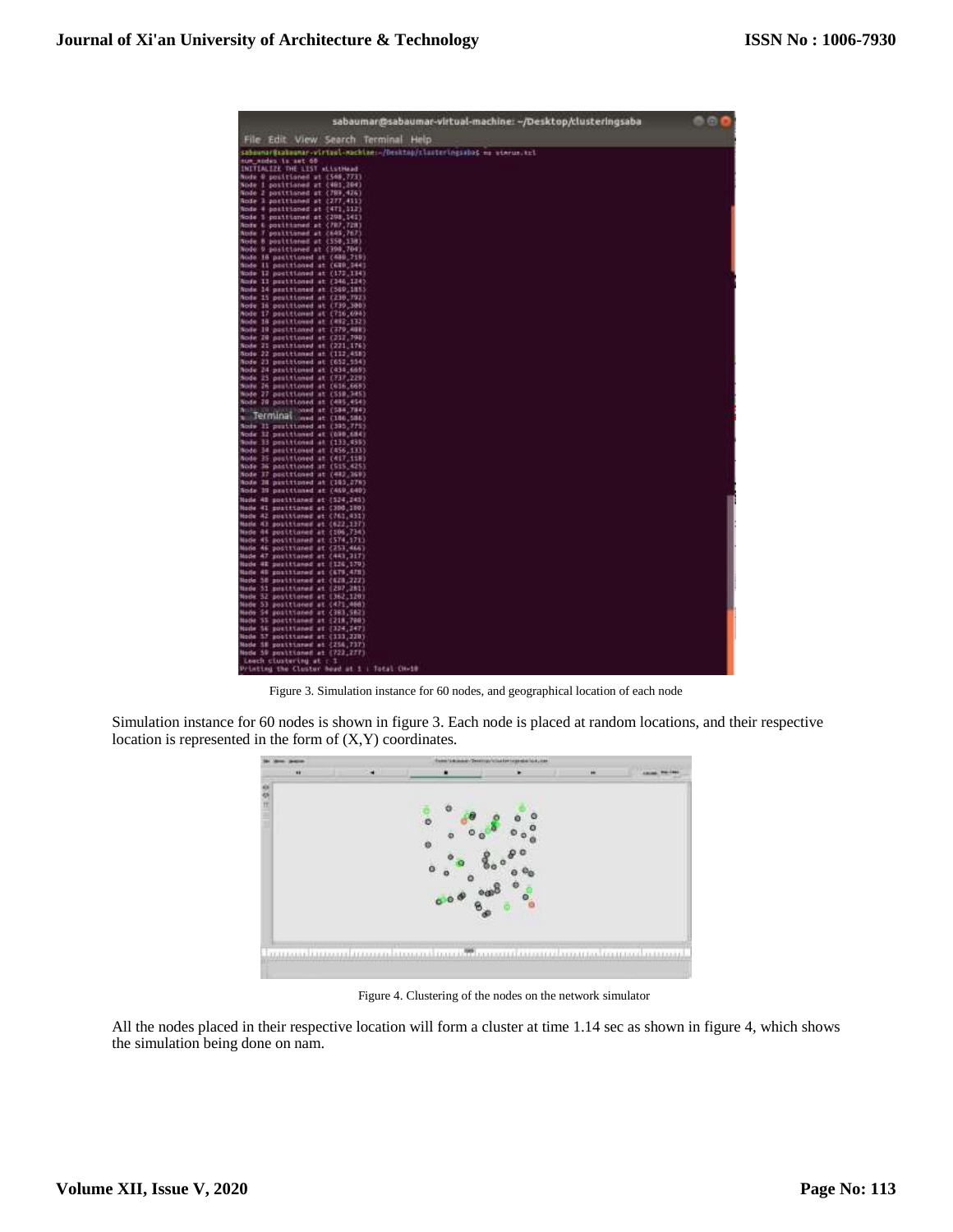

Figure 3. Simulation instance for 60 nodes, and geographical location of each node

Simulation instance for 60 nodes is shown in figure 3. Each node is placed at random locations, and their respective location is represented in the form of (X,Y) coordinates.



Figure 4. Clustering of the nodes on the network simulator

All the nodes placed in their respective location will form a cluster at time 1.14 sec as shown in figure 4, which shows the simulation being done on nam.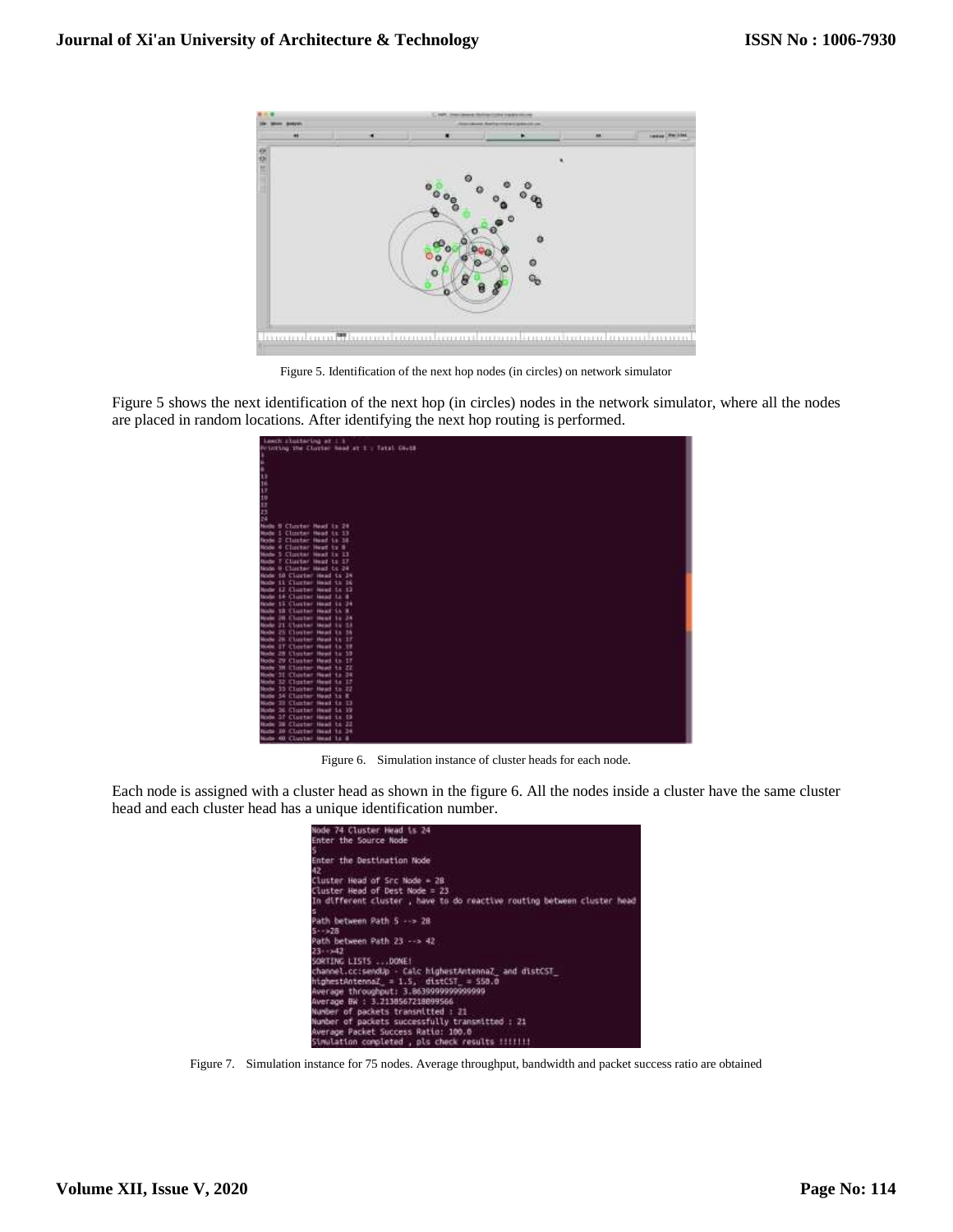

Figure 5. Identification of the next hop nodes (in circles) on network simulator

Figure 5 shows the next identification of the next hop (in circles) nodes in the network simulator, where all the nodes are placed in random locations. After identifying the next hop routing is performed.

| Lowch cluctering at 1.1                                      |
|--------------------------------------------------------------|
| Printing the Cluster head at 1 : Tatal Chris                 |
|                                                              |
|                                                              |
|                                                              |
|                                                              |
|                                                              |
|                                                              |
|                                                              |
|                                                              |
|                                                              |
|                                                              |
| <b>Nocto</b><br>0 Cluster Read to 24                         |
| 1 Clinter Head to 13<br>Node                                 |
| 2 Cluster Head is 34<br>Node                                 |
| <b>Hode</b><br>4 Cluster Head to 8                           |
| 5 Clinton Head in 13<br>Noche                                |
| I Clister Head to 17<br>Node<br>0 Cluster Head to 24<br>Node |
| Node 18 Cluster Head 1s 24                                   |
| 11 Clurton Heat 15, 26<br><b>Noche</b>                       |
| Node<br>12 Cluster Head Lt 13                                |
| <b>Nordin</b><br>14 Cluster Head Lt 8                        |
| Node 15 Cluster Hoad 11 24                                   |
| 12 Cluster Head Lt R<br><b>North</b>                         |
| <b>JR Cluster Head</b><br><b>Parado</b><br>34.24             |
| Newton<br>21 Cluster Head 12 13                              |
| 23 Cluster Head<br>Newthir<br>38 38                          |
| Mode<br>26 Cluster Head<br>14.37                             |
| <b>Model</b><br><b>ST Closter Head</b><br>14.39              |
| 28 Cluster Head to 19<br>Noche                               |
| 29 Cluster Head to 17<br>Node                                |
| <b>Mobile</b><br>38 Closter Head to 22                       |
| Nocke<br>31 Cluster Heat to 24                               |
| 32 Cluster Head to 17<br>Node                                |
| 35 Cluster Head in 22<br>Noche                               |
| Mode<br>54 Cluster Need 1s E                                 |
| Ill Cluster Heat Lt. Ill<br><b>W</b> ochi                    |
| 36 Cluster Head Lt 19<br>Mode                                |
| 37 Cluster Head is 19<br><b>Node</b>                         |
| 3W Cluster Head to 22<br><b>Nude</b>                         |
| 30 Cluster Head 11 24<br>North                               |
| Node 40 Cluster Heat 1s &                                    |

Figure 6. Simulation instance of cluster heads for each node.

Each node is assigned with a cluster head as shown in the figure 6. All the nodes inside a cluster have the same cluster head and each cluster head has a unique identification number.

| Node 74 Cluster Head Ls 24                                             |
|------------------------------------------------------------------------|
| Enter the Source Node                                                  |
|                                                                        |
| Enter the Destination Node                                             |
| 42                                                                     |
| Cluster Head of Src Node = 28                                          |
| Cluster Head of Dest Node = 23                                         |
| In different cluster, have to do reactive routing between cluster head |
|                                                                        |
| Path between Path 5 --> 28                                             |
| $5 - 128$                                                              |
| Path between Path 23 --> 42                                            |
|                                                                        |
| $23 - 142$                                                             |
| SORTING LISTS  DOME!                                                   |
| channel.cc:sendUp - Calc highestAntennaZ and distCST                   |
| $h$ ighestAntennaZ = $1.5$ , $distCST = 550.0$                         |
| Average throughput: 3.8639999999999999                                 |
| Average BW : 3.2138567218899566                                        |
| Number of packets transmitted : 21                                     |
| Number of packets successfully transmitted : 21                        |
| Average Packet Success Ratio: 100.0                                    |
| Simulation completed . pls check results !!!!!!!                       |

Figure 7. Simulation instance for 75 nodes. Average throughput, bandwidth and packet success ratio are obtained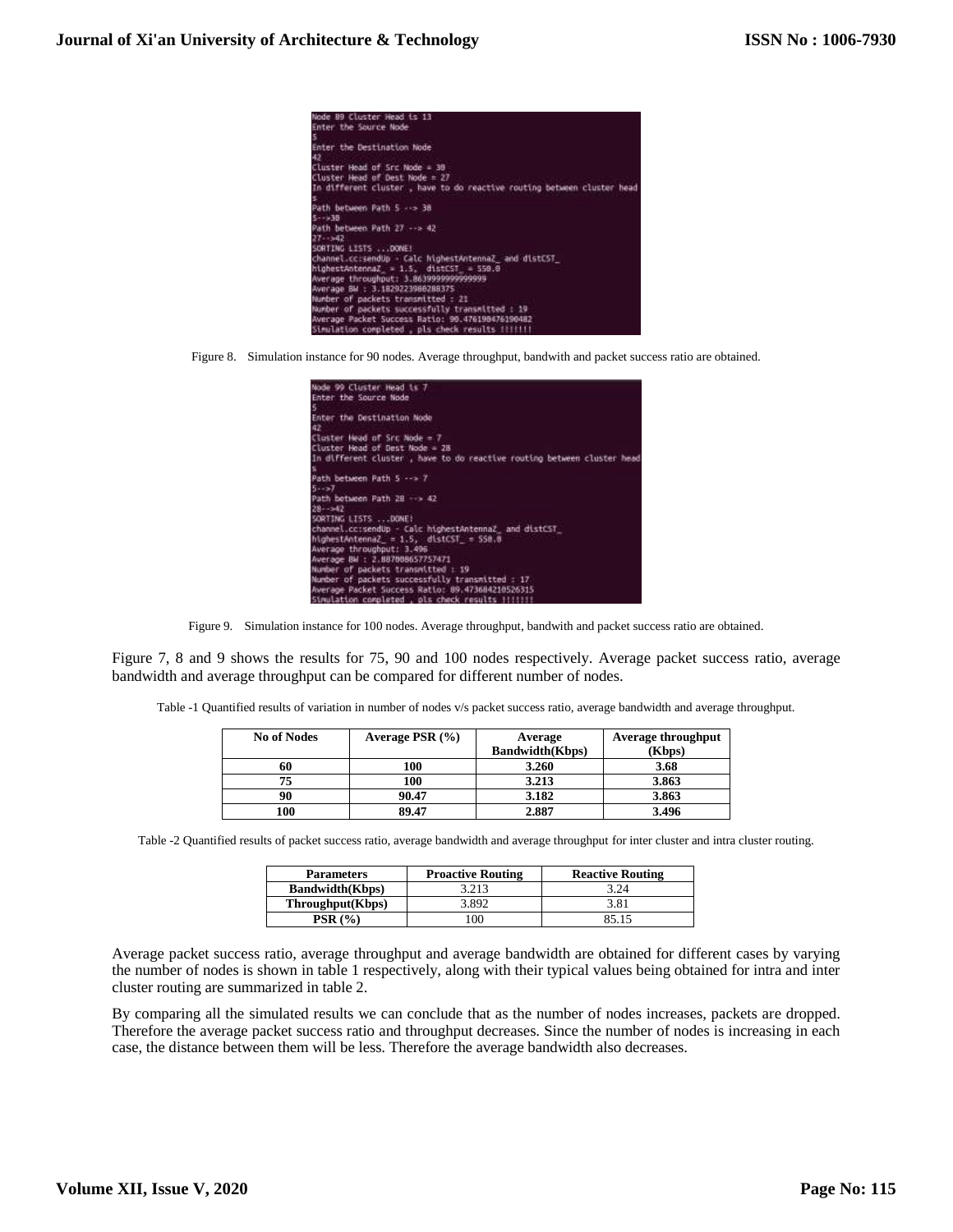

Figure 8. Simulation instance for 90 nodes. Average throughput, bandwith and packet success ratio are obtained.



Figure 9. Simulation instance for 100 nodes. Average throughput, bandwith and packet success ratio are obtained.

Figure 7, 8 and 9 shows the results for 75, 90 and 100 nodes respectively. Average packet success ratio, average bandwidth and average throughput can be compared for different number of nodes.

Table -1 Quantified results of variation in number of nodes v/s packet success ratio, average bandwidth and average throughput.

| <b>No of Nodes</b> | Average PSR $(\% )$ | Average                | <b>Average throughput</b> |
|--------------------|---------------------|------------------------|---------------------------|
|                    |                     | <b>Bandwidth(Kbps)</b> | (Kbps)                    |
| 60                 | 100                 | 3.260                  | 3.68                      |
| 75                 | 100                 | 3.213                  | 3.863                     |
| 90                 | 90.47               | 3.182                  | 3.863                     |
| 100                | 89.47               | 2.887                  | 3.496                     |

Table -2 Quantified results of packet success ratio, average bandwidth and average throughput for inter cluster and intra cluster routing.

| <b>Parameters</b>       | <b>Proactive Routing</b> | <b>Reactive Routing</b> |
|-------------------------|--------------------------|-------------------------|
| <b>Bandwidth</b> (Kbps) | 3.213                    | 3.24                    |
| Throughput(Kbps)        | 3.892                    | 3.81                    |
| <b>PSR</b> (%)          | $00^{\circ}$             | 85.15                   |

Average packet success ratio, average throughput and average bandwidth are obtained for different cases by varying the number of nodes is shown in table 1 respectively, along with their typical values being obtained for intra and inter cluster routing are summarized in table 2.

By comparing all the simulated results we can conclude that as the number of nodes increases, packets are dropped. Therefore the average packet success ratio and throughput decreases. Since the number of nodes is increasing in each case, the distance between them will be less. Therefore the average bandwidth also decreases.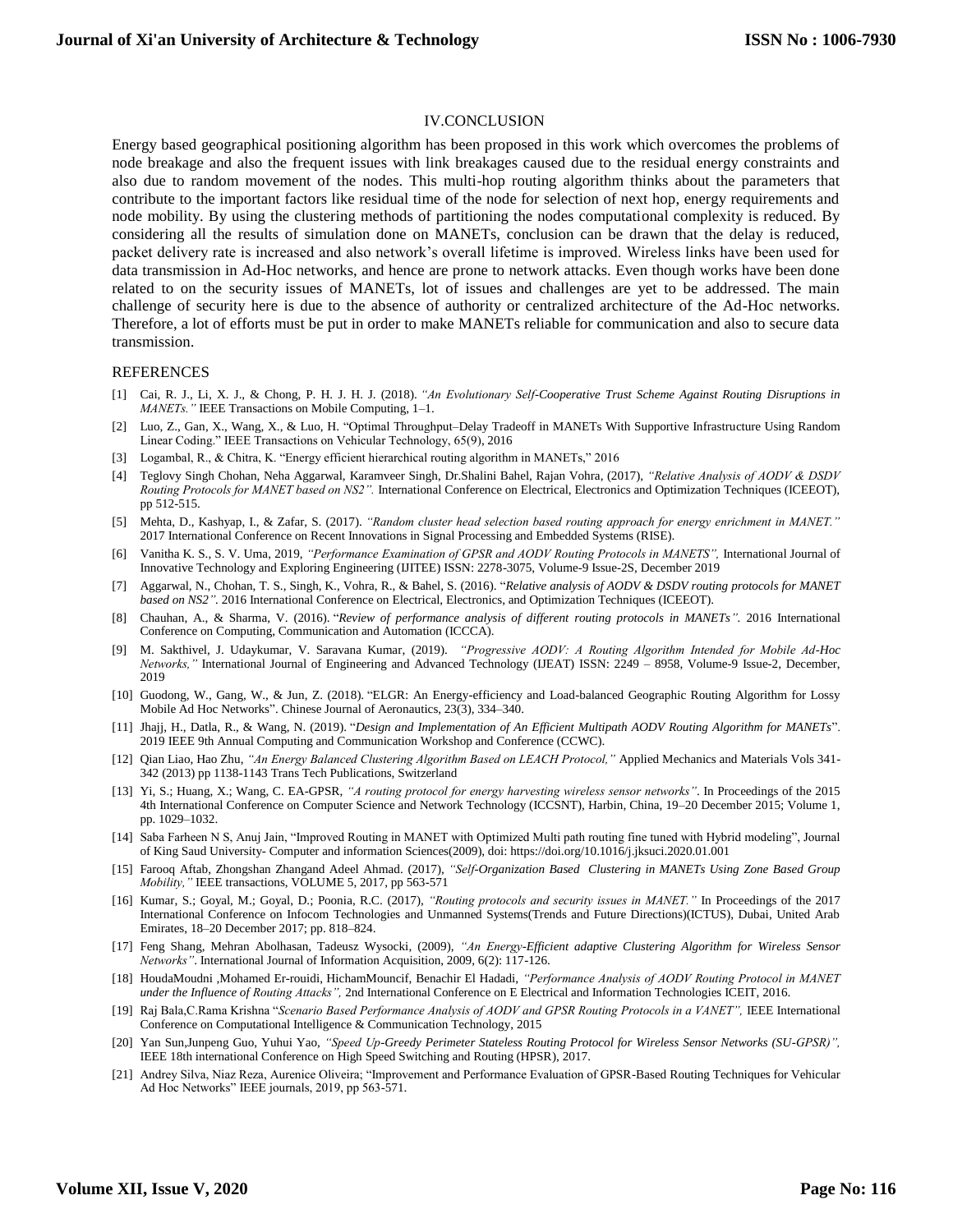## IV.CONCLUSION

Energy based geographical positioning algorithm has been proposed in this work which overcomes the problems of node breakage and also the frequent issues with link breakages caused due to the residual energy constraints and also due to random movement of the nodes. This multi-hop routing algorithm thinks about the parameters that contribute to the important factors like residual time of the node for selection of next hop, energy requirements and node mobility. By using the clustering methods of partitioning the nodes computational complexity is reduced. By considering all the results of simulation done on MANETs, conclusion can be drawn that the delay is reduced, packet delivery rate is increased and also network's overall lifetime is improved. Wireless links have been used for data transmission in Ad-Hoc networks, and hence are prone to network attacks. Even though works have been done related to on the security issues of MANETs, lot of issues and challenges are yet to be addressed. The main challenge of security here is due to the absence of authority or centralized architecture of the Ad-Hoc networks. Therefore, a lot of efforts must be put in order to make MANETs reliable for communication and also to secure data transmission.

#### **REFERENCES**

- [1] Cai, R. J., Li, X. J., & Chong, P. H. J. H. J. (2018). *"An Evolutionary Self-Cooperative Trust Scheme Against Routing Disruptions in MANETs."* IEEE Transactions on Mobile Computing, 1–1.
- [2] Luo, Z., Gan, X., Wang, X., & Luo, H. "Optimal Throughput–Delay Tradeoff in MANETs With Supportive Infrastructure Using Random Linear Coding." IEEE Transactions on Vehicular Technology, 65(9), 2016
- [3] Logambal, R., & Chitra, K. "Energy efficient hierarchical routing algorithm in MANETs," 2016
- [4] Teglovy Singh Chohan, Neha Aggarwal, Karamveer Singh, Dr.Shalini Bahel, Rajan Vohra, (2017), *"Relative Analysis of AODV & DSDV Routing Protocols for MANET based on NS2".* International Conference on Electrical, Electronics and Optimization Techniques (ICEEOT), pp 512-515.
- [5] Mehta, D., Kashyap, I., & Zafar, S. (2017). *"Random cluster head selection based routing approach for energy enrichment in MANET."*  2017 International Conference on Recent Innovations in Signal Processing and Embedded Systems (RISE).
- [6] Vanitha K. S., S. V. Uma, 2019, *"Performance Examination of GPSR and AODV Routing Protocols in MANETS",* International Journal of Innovative Technology and Exploring Engineering (IJITEE) ISSN: 2278-3075, Volume-9 Issue-2S, December 2019
- [7] Aggarwal, N., Chohan, T. S., Singh, K., Vohra, R., & Bahel, S. (2016). "*Relative analysis of AODV & DSDV routing protocols for MANET based on NS2".* 2016 International Conference on Electrical, Electronics, and Optimization Techniques (ICEEOT).
- [8] Chauhan, A., & Sharma, V. (2016). "*Review of performance analysis of different routing protocols in MANETs".* 2016 International Conference on Computing, Communication and Automation (ICCCA).
- [9] M. Sakthivel, J. Udaykumar, V. Saravana Kumar, (2019). *"Progressive AODV: A Routing Algorithm Intended for Mobile Ad-Hoc Networks,"* International Journal of Engineering and Advanced Technology (IJEAT) ISSN: 2249 – 8958, Volume-9 Issue-2, December, 2019
- [10] Guodong, W., Gang, W., & Jun, Z. (2018). "ELGR: An Energy-efficiency and Load-balanced Geographic Routing Algorithm for Lossy Mobile Ad Hoc Networks". Chinese Journal of Aeronautics, 23(3), 334–340.
- [11] Jhajj, H., Datla, R., & Wang, N. (2019). "*Design and Implementation of An Efficient Multipath AODV Routing Algorithm for MANETs*". 2019 IEEE 9th Annual Computing and Communication Workshop and Conference (CCWC).
- [12] Qian Liao, Hao Zhu, *"An Energy Balanced Clustering Algorithm Based on LEACH Protocol,"* Applied Mechanics and Materials Vols 341- 342 (2013) pp 1138-1143 Trans Tech Publications, Switzerland
- [13] Yi, S.; Huang, X.; Wang, C. EA-GPSR, *"A routing protocol for energy harvesting wireless sensor networks"*. In Proceedings of the 2015 4th International Conference on Computer Science and Network Technology (ICCSNT), Harbin, China, 19–20 December 2015; Volume 1, pp. 1029–1032.
- [14] Saba Farheen N S, Anuj Jain, "Improved Routing in MANET with Optimized Multi path routing fine tuned with Hybrid modeling", Journal of King Saud University- Computer and information Sciences(2009), doi: https://doi.org/10.1016/j.jksuci.2020.01.001
- [15] Farooq Aftab, Zhongshan Zhangand Adeel Ahmad. (2017), *"Self-Organization Based Clustering in MANETs Using Zone Based Group Mobility,"* IEEE transactions, VOLUME 5, 2017, pp 563-571
- [16] Kumar, S.; Goyal, M.; Goyal, D.; Poonia, R.C. (2017), *"Routing protocols and security issues in MANET."* In Proceedings of the 2017 International Conference on Infocom Technologies and Unmanned Systems(Trends and Future Directions)(ICTUS), Dubai, United Arab Emirates, 18–20 December 2017; pp. 818–824.
- [17] Feng Shang, Mehran Abolhasan, Tadeusz Wysocki, (2009), *"An Energy-Efficient adaptive Clustering Algorithm for Wireless Sensor Networks"*. International Journal of Information Acquisition, 2009, 6(2): 117-126.
- [18] HoudaMoudni ,Mohamed Er-rouidi, HichamMouncif, Benachir El Hadadi, *"Performance Analysis of AODV Routing Protocol in MANET under the Influence of Routing Attacks",* 2nd International Conference on E Electrical and Information Technologies ICEIT, 2016.
- [19] Raj Bala,C.Rama Krishna "*Scenario Based Performance Analysis of AODV and GPSR Routing Protocols in a VANET",* IEEE International Conference on Computational Intelligence & Communication Technology, 2015
- [20] Yan Sun,Junpeng Guo, Yuhui Yao, *"Speed Up-Greedy Perimeter Stateless Routing Protocol for Wireless Sensor Networks (SU-GPSR)",* IEEE 18th international Conference on High Speed Switching and Routing (HPSR), 2017.
- [21] Andrey Silva, Niaz Reza, Aurenice Oliveira; "Improvement and Performance Evaluation of GPSR-Based Routing Techniques for Vehicular Ad Hoc Networks" IEEE journals, 2019, pp 563-571.